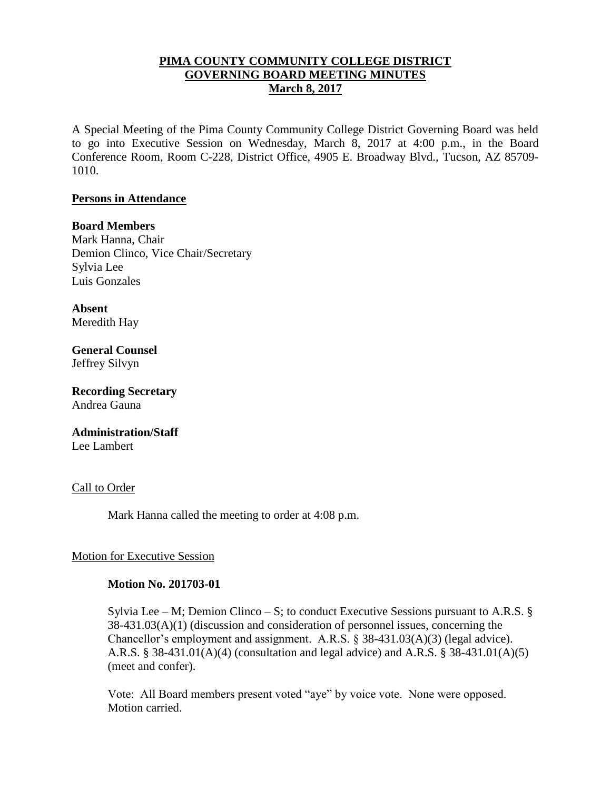## **PIMA COUNTY COMMUNITY COLLEGE DISTRICT GOVERNING BOARD MEETING MINUTES March 8, 2017**

A Special Meeting of the Pima County Community College District Governing Board was held to go into Executive Session on Wednesday, March 8, 2017 at 4:00 p.m., in the Board Conference Room, Room C-228, District Office, 4905 E. Broadway Blvd., Tucson, AZ 85709- 1010.

#### **Persons in Attendance**

#### **Board Members**

Mark Hanna, Chair Demion Clinco, Vice Chair/Secretary Sylvia Lee Luis Gonzales

**Absent** Meredith Hay

**General Counsel**  Jeffrey Silvyn

**Recording Secretary** Andrea Gauna

# **Administration/Staff**

Lee Lambert

#### Call to Order

Mark Hanna called the meeting to order at 4:08 p.m.

#### Motion for Executive Session

#### **Motion No. 201703-01**

Sylvia Lee – M; Demion Clinco – S; to conduct Executive Sessions pursuant to A.R.S.  $\S$ 38-431.03(A)(1) (discussion and consideration of personnel issues, concerning the Chancellor's employment and assignment. A.R.S. § 38-431.03(A)(3) (legal advice). A.R.S. § 38-431.01(A)(4) (consultation and legal advice) and A.R.S. § 38-431.01(A)(5) (meet and confer).

Vote: All Board members present voted "aye" by voice vote. None were opposed. Motion carried.